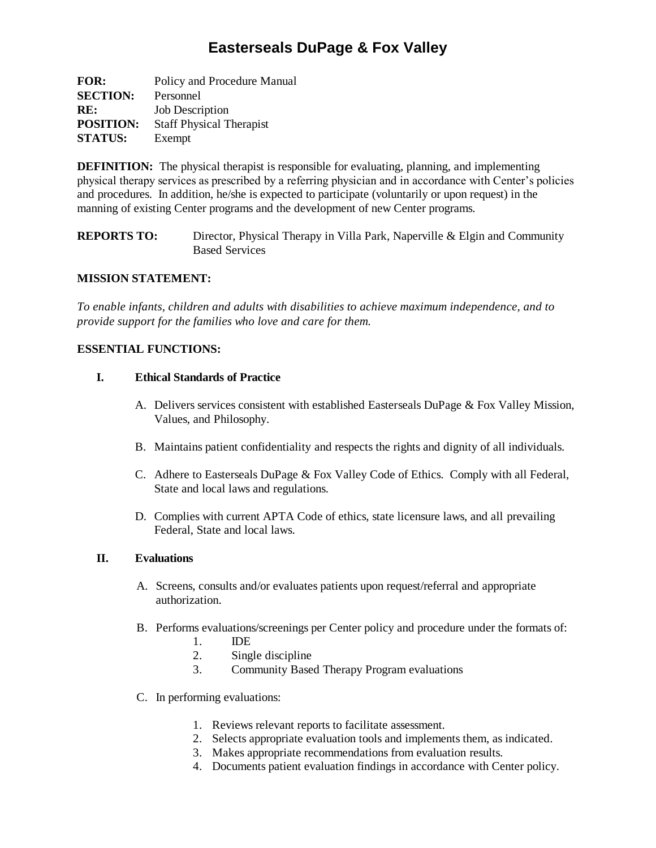# **Easterseals DuPage & Fox Valley**

**FOR:** Policy and Procedure Manual **SECTION:** Personnel **RE:** Job Description **POSITION:** Staff Physical Therapist **STATUS:** Exempt

**DEFINITION:** The physical therapist is responsible for evaluating, planning, and implementing physical therapy services as prescribed by a referring physician and in accordance with Center's policies and procedures. In addition, he/she is expected to participate (voluntarily or upon request) in the manning of existing Center programs and the development of new Center programs.

**REPORTS TO:** Director, Physical Therapy in Villa Park, Naperville & Elgin and Community Based Services

#### **MISSION STATEMENT:**

*To enable infants, children and adults with disabilities to achieve maximum independence, and to provide support for the families who love and care for them.*

## **ESSENTIAL FUNCTIONS:**

## **I. Ethical Standards of Practice**

- A. Delivers services consistent with established Easterseals DuPage & Fox Valley Mission, Values, and Philosophy.
- B. Maintains patient confidentiality and respects the rights and dignity of all individuals.
- C. Adhere to Easterseals DuPage & Fox Valley Code of Ethics. Comply with all Federal, State and local laws and regulations.
- D. Complies with current APTA Code of ethics, state licensure laws, and all prevailing Federal, State and local laws.

#### **II. Evaluations**

- A. Screens, consults and/or evaluates patients upon request/referral and appropriate authorization.
- B. Performs evaluations/screenings per Center policy and procedure under the formats of:
	- 1. IDE
	- 2. Single discipline
	- 3. Community Based Therapy Program evaluations
- C. In performing evaluations:
	- 1. Reviews relevant reports to facilitate assessment.
	- 2. Selects appropriate evaluation tools and implements them, as indicated.
	- 3. Makes appropriate recommendations from evaluation results.
	- 4. Documents patient evaluation findings in accordance with Center policy.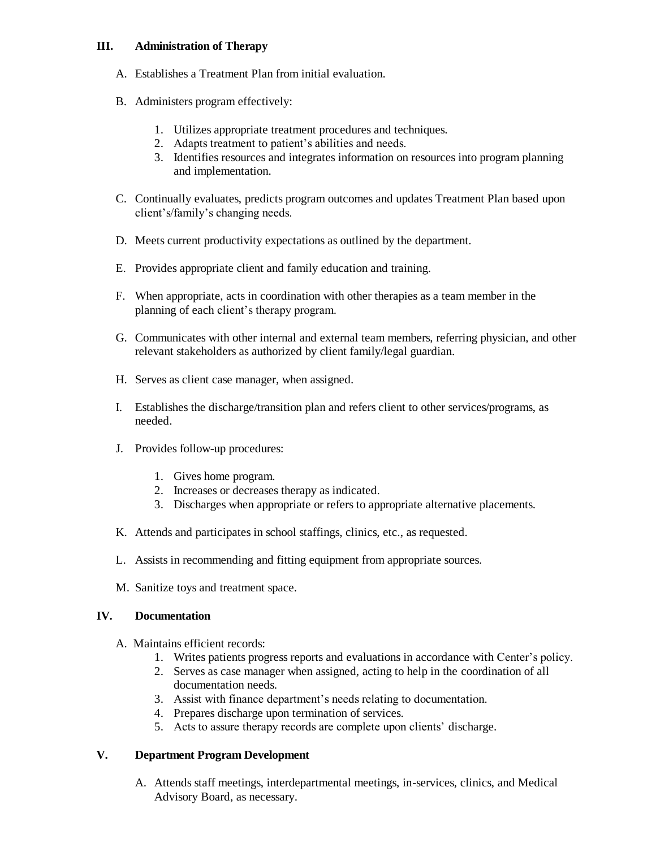#### **III. Administration of Therapy**

- A. Establishes a Treatment Plan from initial evaluation.
- B. Administers program effectively:
	- 1. Utilizes appropriate treatment procedures and techniques.
	- 2. Adapts treatment to patient's abilities and needs.
	- 3. Identifies resources and integrates information on resources into program planning and implementation.
- C. Continually evaluates, predicts program outcomes and updates Treatment Plan based upon client's/family's changing needs.
- D. Meets current productivity expectations as outlined by the department.
- E. Provides appropriate client and family education and training.
- F. When appropriate, acts in coordination with other therapies as a team member in the planning of each client's therapy program.
- G. Communicates with other internal and external team members, referring physician, and other relevant stakeholders as authorized by client family/legal guardian.
- H. Serves as client case manager, when assigned.
- I. Establishes the discharge/transition plan and refers client to other services/programs, as needed.
- J. Provides follow-up procedures:
	- 1. Gives home program.
	- 2. Increases or decreases therapy as indicated.
	- 3. Discharges when appropriate or refers to appropriate alternative placements.
- K. Attends and participates in school staffings, clinics, etc., as requested.
- L. Assists in recommending and fitting equipment from appropriate sources.
- M. Sanitize toys and treatment space.

#### **IV. Documentation**

- A. Maintains efficient records:
	- 1. Writes patients progress reports and evaluations in accordance with Center's policy.
	- 2. Serves as case manager when assigned, acting to help in the coordination of all documentation needs.
	- 3. Assist with finance department's needs relating to documentation.
	- 4. Prepares discharge upon termination of services.
	- 5. Acts to assure therapy records are complete upon clients' discharge.

# **V. Department Program Development**

A. Attends staff meetings, interdepartmental meetings, in-services, clinics, and Medical Advisory Board, as necessary.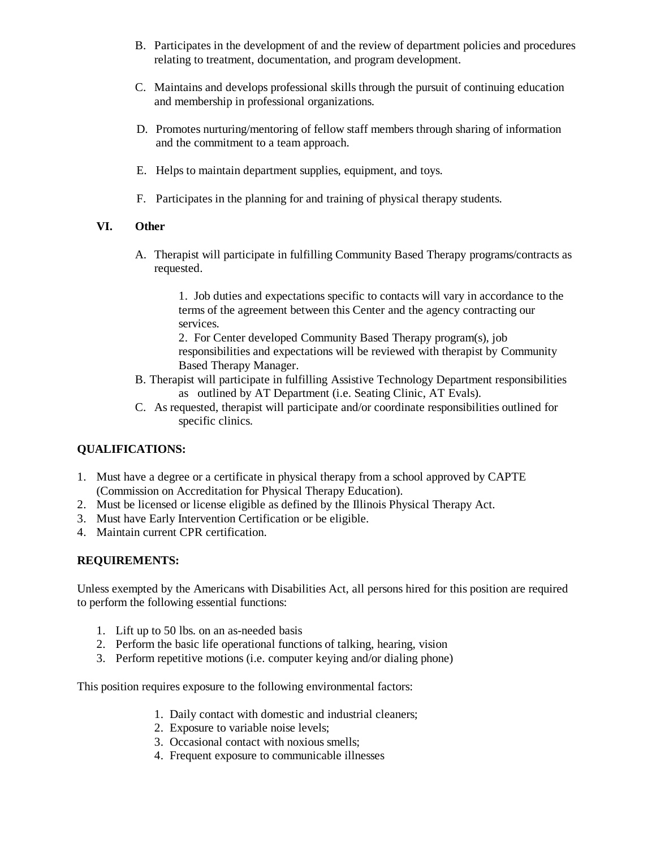- B. Participates in the development of and the review of department policies and procedures relating to treatment, documentation, and program development.
- C. Maintains and develops professional skills through the pursuit of continuing education and membership in professional organizations.
- D. Promotes nurturing/mentoring of fellow staff members through sharing of information and the commitment to a team approach.
- E. Helps to maintain department supplies, equipment, and toys.
- F. Participates in the planning for and training of physical therapy students.

## **VI. Other**

A. Therapist will participate in fulfilling Community Based Therapy programs/contracts as requested.

> 1. Job duties and expectations specific to contacts will vary in accordance to the terms of the agreement between this Center and the agency contracting our services.

2. For Center developed Community Based Therapy program(s), job responsibilities and expectations will be reviewed with therapist by Community Based Therapy Manager.

- B. Therapist will participate in fulfilling Assistive Technology Department responsibilities as outlined by AT Department (i.e. Seating Clinic, AT Evals).
- C. As requested, therapist will participate and/or coordinate responsibilities outlined for specific clinics.

#### **QUALIFICATIONS:**

- 1. Must have a degree or a certificate in physical therapy from a school approved by CAPTE (Commission on Accreditation for Physical Therapy Education).
- 2. Must be licensed or license eligible as defined by the Illinois Physical Therapy Act.
- 3. Must have Early Intervention Certification or be eligible.
- 4. Maintain current CPR certification.

# **REQUIREMENTS:**

Unless exempted by the Americans with Disabilities Act, all persons hired for this position are required to perform the following essential functions:

- 1. Lift up to 50 lbs. on an as-needed basis
- 2. Perform the basic life operational functions of talking, hearing, vision
- 3. Perform repetitive motions (i.e. computer keying and/or dialing phone)

This position requires exposure to the following environmental factors:

- 1. Daily contact with domestic and industrial cleaners;
- 2. Exposure to variable noise levels;
- 3. Occasional contact with noxious smells;
- 4. Frequent exposure to communicable illnesses